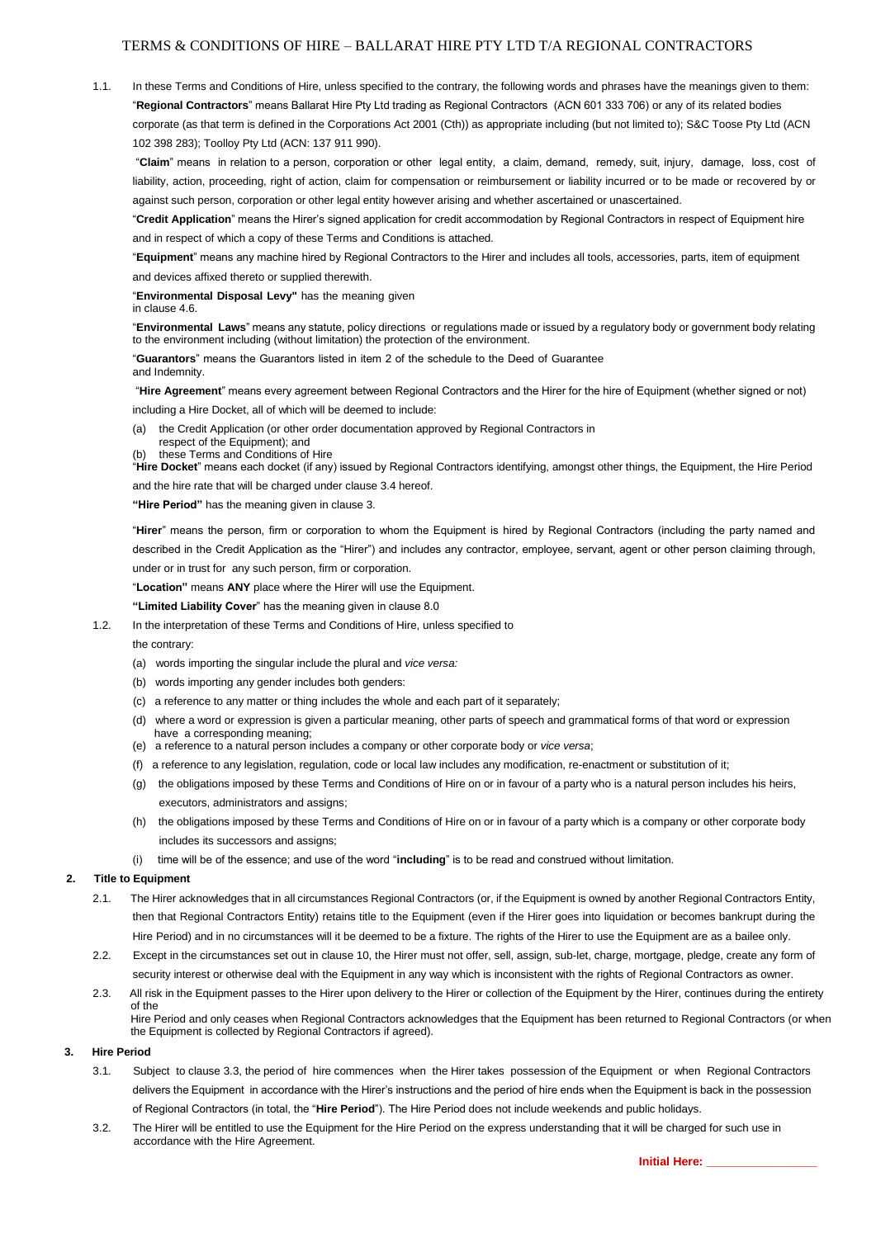# TERMS & CONDITIONS OF HIRE – BALLARAT HIRE PTY LTD T/A REGIONAL CONTRACTORS

1.1. In these Terms and Conditions of Hire, unless specified to the contrary, the following words and phrases have the meanings given to them: "**Regional Contractors**" means Ballarat Hire Pty Ltd trading as Regional Contractors (ACN 601 333 706) or any of its related bodies corporate (as that term is defined in the Corporations Act 2001 (Cth)) as appropriate including (but not limited to); S&C Toose Pty Ltd (ACN 102 398 283); Toolloy Pty Ltd (ACN: 137 911 990).

"**Claim**" means in relation to a person, corporation or other legal entity, a claim, demand, remedy, suit, injury, damage, loss, cost of liability, action, proceeding, right of action, claim for compensation or reimbursement or liability incurred or to be made or recovered by or against such person, corporation or other legal entity however arising and whether ascertained or unascertained.

"**Credit Application**" means the Hirer's signed application for credit accommodation by Regional Contractors in respect of Equipment hire and in respect of which a copy of these Terms and Conditions is attached.

"**Equipment**" means any machine hired by Regional Contractors to the Hirer and includes all tools, accessories, parts, item of equipment and devices affixed thereto or supplied therewith.

"**Environmental Disposal Levy"** has the meaning given in clause 4.6.

"**Environmental Laws**" means any statute, policy directions or regulations made or issued by a regulatory body or government body relating to the environment including (without limitation) the protection of the environment.

"**Guarantors**" means the Guarantors listed in item 2 of the schedule to the Deed of Guarantee and Indemnity.

"**Hire Agreement**" means every agreement between Regional Contractors and the Hirer for the hire of Equipment (whether signed or not) including a Hire Docket, all of which will be deemed to include:

- (a) the Credit Application (or other order documentation approved by Regional Contractors in
- respect of the Equipment); and

these Terms and Conditions of Hire "**Hire Docket**" means each docket (if any) issued by Regional Contractors identifying, amongst other things, the Equipment, the Hire Period

and the hire rate that will be charged under clause 3.4 hereof.

**"Hire Period"** has the meaning given in clause 3.

"**Hirer**" means the person, firm or corporation to whom the Equipment is hired by Regional Contractors (including the party named and described in the Credit Application as the "Hirer") and includes any contractor, employee, servant, agent or other person claiming through, under or in trust for any such person, firm or corporation.

"**Location"** means **ANY** place where the Hirer will use the Equipment.

#### **"Limited Liability Cover**" has the meaning given in clause 8.0

1.2. In the interpretation of these Terms and Conditions of Hire, unless specified to

the contrary:

- (a) words importing the singular include the plural and *vice versa:*
- (b) words importing any gender includes both genders:
- (c) a reference to any matter or thing includes the whole and each part of it separately;
- (d) where a word or expression is given a particular meaning, other parts of speech and grammatical forms of that word or expression have a corresponding meaning;
- (e) a reference to a natural person includes a company or other corporate body or *vice versa*;
- (f) a reference to any legislation, regulation, code or local law includes any modification, re-enactment or substitution of it;
- (g) the obligations imposed by these Terms and Conditions of Hire on or in favour of a party who is a natural person includes his heirs, executors, administrators and assigns;
- (h) the obligations imposed by these Terms and Conditions of Hire on or in favour of a party which is a company or other corporate body includes its successors and assigns;
- (i) time will be of the essence; and use of the word "**including**" is to be read and construed without limitation.

# **2. Title to Equipment**

- 2.1. The Hirer acknowledges that in all circumstances Regional Contractors (or, if the Equipment is owned by another Regional Contractors Entity, then that Regional Contractors Entity) retains title to the Equipment (even if the Hirer goes into liquidation or becomes bankrupt during the Hire Period) and in no circumstances will it be deemed to be a fixture. The rights of the Hirer to use the Equipment are as a bailee only.
- 2.2. Except in the circumstances set out in clause 10, the Hirer must not offer, sell, assign, sub-let, charge, mortgage, pledge, create any form of security interest or otherwise deal with the Equipment in any way which is inconsistent with the rights of Regional Contractors as owner.

2.3. All risk in the Equipment passes to the Hirer upon delivery to the Hirer or collection of the Equipment by the Hirer, continues during the entirety of the Hire Period and only ceases when Regional Contractors acknowledges that the Equipment has been returned to Regional Contractors (or when the Equipment is collected by Regional Contractors if agreed).

#### **3. Hire Period**

- 3.1. Subject to clause 3.3, the period of hire commences when the Hirer takes possession of the Equipment or when Regional Contractors delivers the Equipment in accordance with the Hirer's instructions and the period of hire ends when the Equipment is back in the possession of Regional Contractors (in total, the "**Hire Period**"). The Hire Period does not include weekends and public holidays.
- 3.2. The Hirer will be entitled to use the Equipment for the Hire Period on the express understanding that it will be charged for such use in accordance with the Hire Agreement.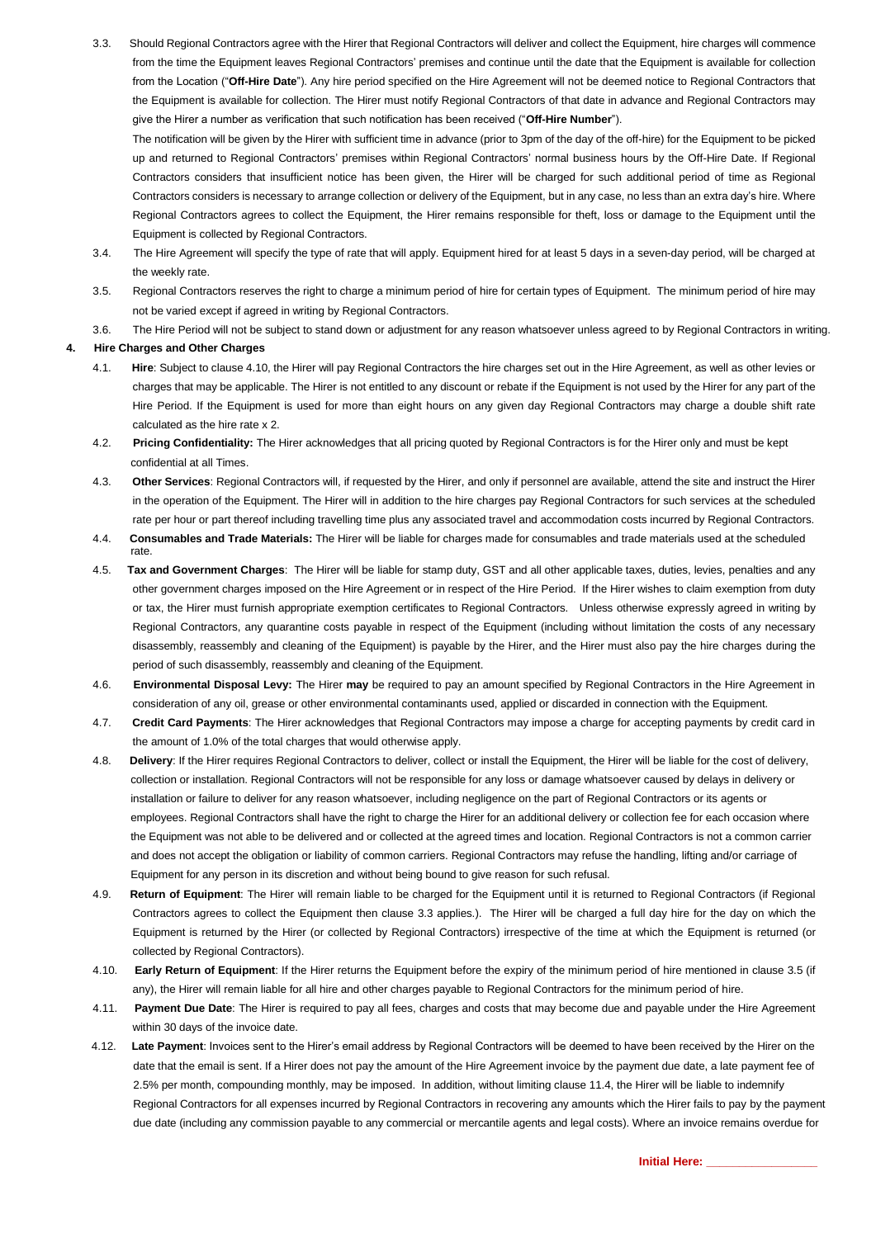3.3. Should Regional Contractors agree with the Hirer that Regional Contractors will deliver and collect the Equipment, hire charges will commence from the time the Equipment leaves Regional Contractors' premises and continue until the date that the Equipment is available for collection from the Location ("**Off-Hire Date**"). Any hire period specified on the Hire Agreement will not be deemed notice to Regional Contractors that the Equipment is available for collection. The Hirer must notify Regional Contractors of that date in advance and Regional Contractors may give the Hirer a number as verification that such notification has been received ("**Off-Hire Number**").

The notification will be given by the Hirer with sufficient time in advance (prior to 3pm of the day of the off-hire) for the Equipment to be picked up and returned to Regional Contractors' premises within Regional Contractors' normal business hours by the Off-Hire Date. If Regional Contractors considers that insufficient notice has been given, the Hirer will be charged for such additional period of time as Regional Contractors considers is necessary to arrange collection or delivery of the Equipment, but in any case, no less than an extra day's hire. Where Regional Contractors agrees to collect the Equipment, the Hirer remains responsible for theft, loss or damage to the Equipment until the Equipment is collected by Regional Contractors.

- 3.4. The Hire Agreement will specify the type of rate that will apply. Equipment hired for at least 5 days in a seven-day period, will be charged at the weekly rate.
- 3.5. Regional Contractors reserves the right to charge a minimum period of hire for certain types of Equipment. The minimum period of hire may not be varied except if agreed in writing by Regional Contractors.
- 3.6. The Hire Period will not be subject to stand down or adjustment for any reason whatsoever unless agreed to by Regional Contractors in writing.

## **4. Hire Charges and Other Charges**

- 4.1. **Hire**: Subject to clause 4.10, the Hirer will pay Regional Contractors the hire charges set out in the Hire Agreement, as well as other levies or charges that may be applicable. The Hirer is not entitled to any discount or rebate if the Equipment is not used by the Hirer for any part of the Hire Period. If the Equipment is used for more than eight hours on any given day Regional Contractors may charge a double shift rate calculated as the hire rate x 2.
- 4.2. **Pricing Confidentiality:** The Hirer acknowledges that all pricing quoted by Regional Contractors is for the Hirer only and must be kept confidential at all Times.
- 4.3. **Other Services**: Regional Contractors will, if requested by the Hirer, and only if personnel are available, attend the site and instruct the Hirer in the operation of the Equipment. The Hirer will in addition to the hire charges pay Regional Contractors for such services at the scheduled rate per hour or part thereof including travelling time plus any associated travel and accommodation costs incurred by Regional Contractors.
- 4.4. **Consumables and Trade Materials:** The Hirer will be liable for charges made for consumables and trade materials used at the scheduled rate.
- 4.5. **Tax and Government Charges**: The Hirer will be liable for stamp duty, GST and all other applicable taxes, duties, levies, penalties and any other government charges imposed on the Hire Agreement or in respect of the Hire Period. If the Hirer wishes to claim exemption from duty or tax, the Hirer must furnish appropriate exemption certificates to Regional Contractors. Unless otherwise expressly agreed in writing by Regional Contractors, any quarantine costs payable in respect of the Equipment (including without limitation the costs of any necessary disassembly, reassembly and cleaning of the Equipment) is payable by the Hirer, and the Hirer must also pay the hire charges during the period of such disassembly, reassembly and cleaning of the Equipment.
- 4.6. **Environmental Disposal Levy:** The Hirer **may** be required to pay an amount specified by Regional Contractors in the Hire Agreement in consideration of any oil, grease or other environmental contaminants used, applied or discarded in connection with the Equipment.
- 4.7. **Credit Card Payments**: The Hirer acknowledges that Regional Contractors may impose a charge for accepting payments by credit card in the amount of 1.0% of the total charges that would otherwise apply.
- 4.8. **Delivery**: If the Hirer requires Regional Contractors to deliver, collect or install the Equipment, the Hirer will be liable for the cost of delivery, collection or installation. Regional Contractors will not be responsible for any loss or damage whatsoever caused by delays in delivery or installation or failure to deliver for any reason whatsoever, including negligence on the part of Regional Contractors or its agents or employees. Regional Contractors shall have the right to charge the Hirer for an additional delivery or collection fee for each occasion where the Equipment was not able to be delivered and or collected at the agreed times and location. Regional Contractors is not a common carrier and does not accept the obligation or liability of common carriers. Regional Contractors may refuse the handling, lifting and/or carriage of Equipment for any person in its discretion and without being bound to give reason for such refusal.
- 4.9. **Return of Equipment**: The Hirer will remain liable to be charged for the Equipment until it is returned to Regional Contractors (if Regional Contractors agrees to collect the Equipment then clause 3.3 applies.). The Hirer will be charged a full day hire for the day on which the Equipment is returned by the Hirer (or collected by Regional Contractors) irrespective of the time at which the Equipment is returned (or collected by Regional Contractors).
- 4.10. **Early Return of Equipment**: If the Hirer returns the Equipment before the expiry of the minimum period of hire mentioned in clause 3.5 (if any), the Hirer will remain liable for all hire and other charges payable to Regional Contractors for the minimum period of hire.
- 4.11. **Payment Due Date**: The Hirer is required to pay all fees, charges and costs that may become due and payable under the Hire Agreement within 30 days of the invoice date.
- 4.12. **Late Payment**: Invoices sent to the Hirer's email address by Regional Contractors will be deemed to have been received by the Hirer on the date that the email is sent. If a Hirer does not pay the amount of the Hire Agreement invoice by the payment due date, a late payment fee of 2.5% per month, compounding monthly, may be imposed. In addition, without limiting clause 11.4, the Hirer will be liable to indemnify Regional Contractors for all expenses incurred by Regional Contractors in recovering any amounts which the Hirer fails to pay by the payment due date (including any commission payable to any commercial or mercantile agents and legal costs). Where an invoice remains overdue for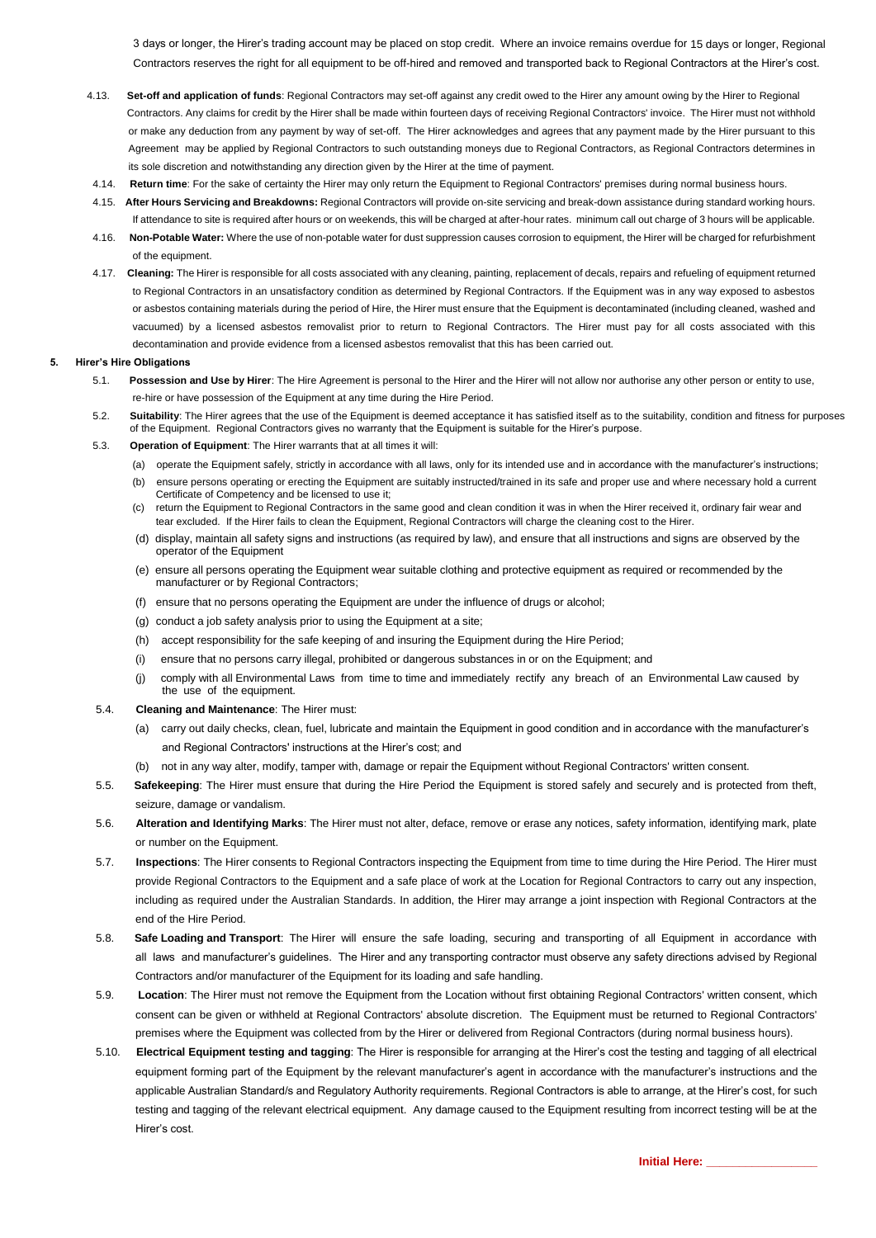3 days or longer, the Hirer's trading account may be placed on stop credit. Where an invoice remains overdue for 15 days or longer, Regional Contractors reserves the right for all equipment to be off-hired and removed and transported back to Regional Contractors at the Hirer's cost.

- 4.13. **Set-off and application of funds**: Regional Contractors may set-off against any credit owed to the Hirer any amount owing by the Hirer to Regional Contractors. Any claims for credit by the Hirer shall be made within fourteen days of receiving Regional Contractors' invoice. The Hirer must not withhold or make any deduction from any payment by way of set-off. The Hirer acknowledges and agrees that any payment made by the Hirer pursuant to this Agreement may be applied by Regional Contractors to such outstanding moneys due to Regional Contractors, as Regional Contractors determines in its sole discretion and notwithstanding any direction given by the Hirer at the time of payment.
- 4.14. **Return time**: For the sake of certainty the Hirer may only return the Equipment to Regional Contractors' premises during normal business hours.
- 4.15. **After Hours Servicing and Breakdowns:** Regional Contractors will provide on-site servicing and break-down assistance during standard working hours. If attendance to site is required after hours or on weekends, this will be charged at after-hour rates. minimum call out charge of 3 hours will be applicable.
- 4.16. **Non-Potable Water:** Where the use of non-potable water for dust suppression causes corrosion to equipment, the Hirer will be charged for refurbishment of the equipment.
- 4.17. **Cleaning:** The Hirer is responsible for all costs associated with any cleaning, painting, replacement of decals, repairs and refueling of equipment returned to Regional Contractors in an unsatisfactory condition as determined by Regional Contractors. If the Equipment was in any way exposed to asbestos or asbestos containing materials during the period of Hire, the Hirer must ensure that the Equipment is decontaminated (including cleaned, washed and vacuumed) by a licensed asbestos removalist prior to return to Regional Contractors. The Hirer must pay for all costs associated with this decontamination and provide evidence from a licensed asbestos removalist that this has been carried out.

#### **5. Hirer's Hire Obligations**

- 5.1. **Possession and Use by Hirer**: The Hire Agreement is personal to the Hirer and the Hirer will not allow nor authorise any other person or entity to use, re-hire or have possession of the Equipment at any time during the Hire Period.
- 5.2. **Suitability**: The Hirer agrees that the use of the Equipment is deemed acceptance it has satisfied itself as to the suitability, condition and fitness for purposes of the Equipment. Regional Contractors gives no warranty that the Equipment is suitable for the Hirer's purpose.
- 5.3. **Operation of Equipment**: The Hirer warrants that at all times it will:
	- (a) operate the Equipment safely, strictly in accordance with all laws, only for its intended use and in accordance with the manufacturer's instructions;
	- (b) ensure persons operating or erecting the Equipment are suitably instructed/trained in its safe and proper use and where necessary hold a current Certificate of Competency and be licensed to use it;
	- (c) return the Equipment to Regional Contractors in the same good and clean condition it was in when the Hirer received it, ordinary fair wear and tear excluded. If the Hirer fails to clean the Equipment, Regional Contractors will charge the cleaning cost to the Hirer.
	- (d) display, maintain all safety signs and instructions (as required by law), and ensure that all instructions and signs are observed by the operator of the Equipment
	- (e) ensure all persons operating the Equipment wear suitable clothing and protective equipment as required or recommended by the manufacturer or by Regional Contractors;
	- (f) ensure that no persons operating the Equipment are under the influence of drugs or alcohol;
	- (g) conduct a job safety analysis prior to using the Equipment at a site;
	- (h) accept responsibility for the safe keeping of and insuring the Equipment during the Hire Period;
	- (i) ensure that no persons carry illegal, prohibited or dangerous substances in or on the Equipment; and
	- (j) comply with all Environmental Laws from time to time and immediately rectify any breach of an Environmental Law caused by the use of the equipment.
- 5.4. **Cleaning and Maintenance**: The Hirer must:
	- (a) carry out daily checks, clean, fuel, lubricate and maintain the Equipment in good condition and in accordance with the manufacturer's and Regional Contractors' instructions at the Hirer's cost; and
	- not in any way alter, modify, tamper with, damage or repair the Equipment without Regional Contractors' written consent.
- 5.5. **Safekeeping**: The Hirer must ensure that during the Hire Period the Equipment is stored safely and securely and is protected from theft, seizure, damage or vandalism.
- 5.6. **Alteration and Identifying Marks**: The Hirer must not alter, deface, remove or erase any notices, safety information, identifying mark, plate or number on the Equipment.
- 5.7. **Inspections**: The Hirer consents to Regional Contractors inspecting the Equipment from time to time during the Hire Period. The Hirer must provide Regional Contractors to the Equipment and a safe place of work at the Location for Regional Contractors to carry out any inspection, including as required under the Australian Standards. In addition, the Hirer may arrange a joint inspection with Regional Contractors at the end of the Hire Period.
- 5.8. **Safe Loading and Transport**: The Hirer will ensure the safe loading, securing and transporting of all Equipment in accordance with all laws and manufacturer's guidelines. The Hirer and any transporting contractor must observe any safety directions advised by Regional Contractors and/or manufacturer of the Equipment for its loading and safe handling.
- 5.9. **Location**: The Hirer must not remove the Equipment from the Location without first obtaining Regional Contractors' written consent, which consent can be given or withheld at Regional Contractors' absolute discretion. The Equipment must be returned to Regional Contractors' premises where the Equipment was collected from by the Hirer or delivered from Regional Contractors (during normal business hours).
- 5.10. **Electrical Equipment testing and tagging**: The Hirer is responsible for arranging at the Hirer's cost the testing and tagging of all electrical equipment forming part of the Equipment by the relevant manufacturer's agent in accordance with the manufacturer's instructions and the applicable Australian Standard/s and Regulatory Authority requirements. Regional Contractors is able to arrange, at the Hirer's cost, for such testing and tagging of the relevant electrical equipment. Any damage caused to the Equipment resulting from incorrect testing will be at the Hirer's cost.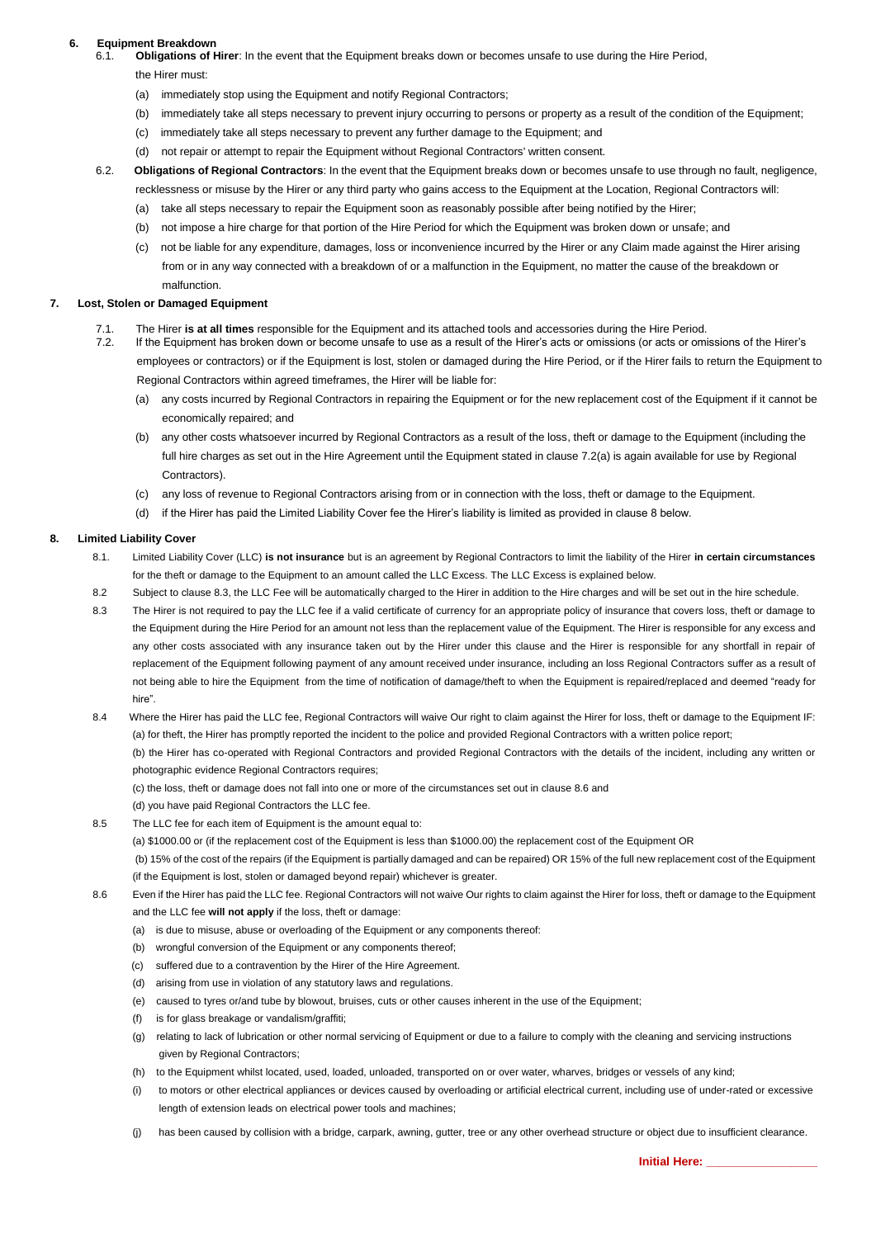# **6.** Equipment Breakdown

- 6.1. **Obligations of Hirer**: In the event that the Equipment breaks down or becomes unsafe to use during the Hire Period,
	- the Hirer must:
	- (a) immediately stop using the Equipment and notify Regional Contractors;
	- (b) immediately take all steps necessary to prevent injury occurring to persons or property as a result of the condition of the Equipment;
	- (c) immediately take all steps necessary to prevent any further damage to the Equipment; and
	- (d) not repair or attempt to repair the Equipment without Regional Contractors' written consent.
- 6.2. **Obligations of Regional Contractors**: In the event that the Equipment breaks down or becomes unsafe to use through no fault, negligence, recklessness or misuse by the Hirer or any third party who gains access to the Equipment at the Location, Regional Contractors will:
	- (a) take all steps necessary to repair the Equipment soon as reasonably possible after being notified by the Hirer;
	- (b) not impose a hire charge for that portion of the Hire Period for which the Equipment was broken down or unsafe; and
	- (c) not be liable for any expenditure, damages, loss or inconvenience incurred by the Hirer or any Claim made against the Hirer arising from or in any way connected with a breakdown of or a malfunction in the Equipment, no matter the cause of the breakdown or malfunction.

#### **7. Lost, Stolen or Damaged Equipment**

- 7.1. The Hirer **is at all times** responsible for the Equipment and its attached tools and accessories during the Hire Period.
- 7.2. If the Equipment has broken down or become unsafe to use as a result of the Hirer's acts or omissions (or acts or omissions of the Hirer's employees or contractors) or if the Equipment is lost, stolen or damaged during the Hire Period, or if the Hirer fails to return the Equipment to Regional Contractors within agreed timeframes, the Hirer will be liable for:
	- (a) any costs incurred by Regional Contractors in repairing the Equipment or for the new replacement cost of the Equipment if it cannot be economically repaired; and
	- (b) any other costs whatsoever incurred by Regional Contractors as a result of the loss, theft or damage to the Equipment (including the full hire charges as set out in the Hire Agreement until the Equipment stated in clause 7.2(a) is again available for use by Regional Contractors).
	- any loss of revenue to Regional Contractors arising from or in connection with the loss, theft or damage to the Equipment.
	- (d) if the Hirer has paid the Limited Liability Cover fee the Hirer's liability is limited as provided in clause 8 below.

### **8. Limited Liability Cover**

- 8.1. Limited Liability Cover (LLC) **is not insurance** but is an agreement by Regional Contractors to limit the liability of the Hirer **in certain circumstances**  for the theft or damage to the Equipment to an amount called the LLC Excess. The LLC Excess is explained below.
- 8.2 Subject to clause 8.3, the LLC Fee will be automatically charged to the Hirer in addition to the Hire charges and will be set out in the hire schedule.
- 8.3 The Hirer is not required to pay the LLC fee if a valid certificate of currency for an appropriate policy of insurance that covers loss, theft or damage to the Equipment during the Hire Period for an amount not less than the replacement value of the Equipment. The Hirer is responsible for any excess and any other costs associated with any insurance taken out by the Hirer under this clause and the Hirer is responsible for any shortfall in repair of replacement of the Equipment following payment of any amount received under insurance, including an loss Regional Contractors suffer as a result of not being able to hire the Equipment from the time of notification of damage/theft to when the Equipment is repaired/replaced and deemed "ready for hire".
- 8.4 Where the Hirer has paid the LLC fee, Regional Contractors will waive Our right to claim against the Hirer for loss, theft or damage to the Equipment IF: (a) for theft, the Hirer has promptly reported the incident to the police and provided Regional Contractors with a written police report;

(b) the Hirer has co-operated with Regional Contractors and provided Regional Contractors with the details of the incident, including any written or photographic evidence Regional Contractors requires;

(c) the loss, theft or damage does not fall into one or more of the circumstances set out in clause 8.6 and

(d) you have paid Regional Contractors the LLC fee.

8.5 The LLC fee for each item of Equipment is the amount equal to:

(a) \$1000.00 or (if the replacement cost of the Equipment is less than \$1000.00) the replacement cost of the Equipment OR

 (b) 15% of the cost of the repairs (if the Equipment is partially damaged and can be repaired) OR 15% of the full new replacement cost of the Equipment (if the Equipment is lost, stolen or damaged beyond repair) whichever is greater.

- 8.6 Even if the Hirer has paid the LLC fee. Regional Contractors will not waive Our rights to claim against the Hirer for loss, theft or damage to the Equipment and the LLC fee **will not apply** if the loss, theft or damage:
	- (a) is due to misuse, abuse or overloading of the Equipment or any components thereof:
	- (b) wrongful conversion of the Equipment or any components thereof;
	- (c) suffered due to a contravention by the Hirer of the Hire Agreement.
	- (d) arising from use in violation of any statutory laws and regulations.
	- (e) caused to tyres or/and tube by blowout, bruises, cuts or other causes inherent in the use of the Equipment;
	- (f) is for glass breakage or vandalism/graffiti;
	- (g) relating to lack of lubrication or other normal servicing of Equipment or due to a failure to comply with the cleaning and servicing instructions given by Regional Contractors;
	- (h) to the Equipment whilst located, used, loaded, unloaded, transported on or over water, wharves, bridges or vessels of any kind;
	- (i) to motors or other electrical appliances or devices caused by overloading or artificial electrical current, including use of under-rated or excessive length of extension leads on electrical power tools and machines;
	- (j) has been caused by collision with a bridge, carpark, awning, gutter, tree or any other overhead structure or object due to insufficient clearance.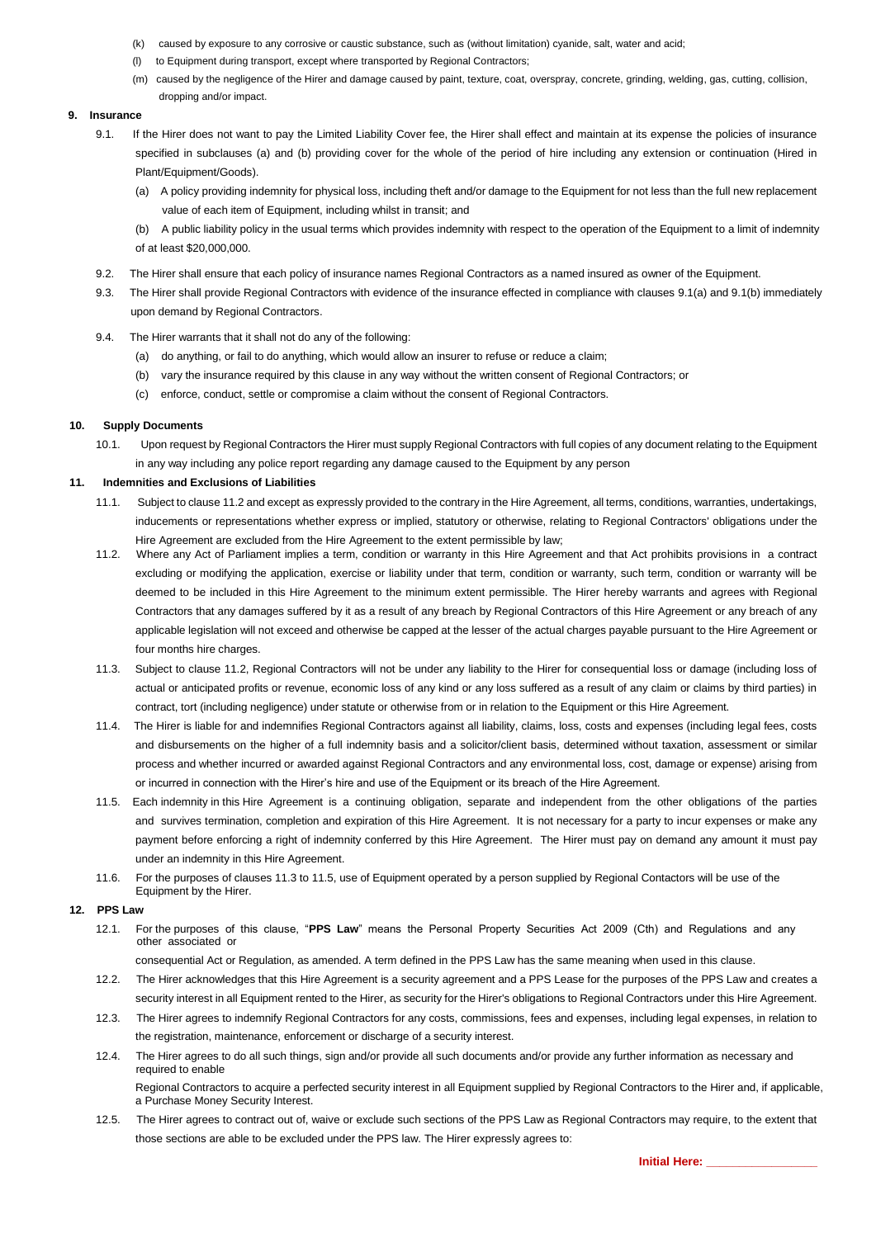- (k) caused by exposure to any corrosive or caustic substance, such as (without limitation) cyanide, salt, water and acid;
- (l) to Equipment during transport, except where transported by Regional Contractors;
- (m) caused by the negligence of the Hirer and damage caused by paint, texture, coat, overspray, concrete, grinding, welding, gas, cutting, collision, dropping and/or impact.

## **9. Insurance**

- 9.1. If the Hirer does not want to pay the Limited Liability Cover fee, the Hirer shall effect and maintain at its expense the policies of insurance specified in subclauses (a) and (b) providing cover for the whole of the period of hire including any extension or continuation (Hired in Plant/Equipment/Goods).
	- (a) A policy providing indemnity for physical loss, including theft and/or damage to the Equipment for not less than the full new replacement value of each item of Equipment, including whilst in transit; and
	- (b) A public liability policy in the usual terms which provides indemnity with respect to the operation of the Equipment to a limit of indemnity of at least \$20,000,000.
- 9.2. The Hirer shall ensure that each policy of insurance names Regional Contractors as a named insured as owner of the Equipment.
- 9.3. The Hirer shall provide Regional Contractors with evidence of the insurance effected in compliance with clauses 9.1(a) and 9.1(b) immediately upon demand by Regional Contractors.
- 9.4. The Hirer warrants that it shall not do any of the following:
	- (a) do anything, or fail to do anything, which would allow an insurer to refuse or reduce a claim;
	- (b) vary the insurance required by this clause in any way without the written consent of Regional Contractors; or
	- (c) enforce, conduct, settle or compromise a claim without the consent of Regional Contractors.

#### **10. Supply Documents**

10.1. Upon request by Regional Contractors the Hirer must supply Regional Contractors with full copies of any document relating to the Equipment in any way including any police report regarding any damage caused to the Equipment by any person

#### **11. Indemnities and Exclusions of Liabilities**

- 11.1. Subject to clause 11.2 and except as expressly provided to the contrary in the Hire Agreement, all terms, conditions, warranties, undertakings, inducements or representations whether express or implied, statutory or otherwise, relating to Regional Contractors' obligations under the Hire Agreement are excluded from the Hire Agreement to the extent permissible by law;
- 11.2. Where any Act of Parliament implies a term, condition or warranty in this Hire Agreement and that Act prohibits provisions in a contract excluding or modifying the application, exercise or liability under that term, condition or warranty, such term, condition or warranty will be deemed to be included in this Hire Agreement to the minimum extent permissible. The Hirer hereby warrants and agrees with Regional Contractors that any damages suffered by it as a result of any breach by Regional Contractors of this Hire Agreement or any breach of any applicable legislation will not exceed and otherwise be capped at the lesser of the actual charges payable pursuant to the Hire Agreement or four months hire charges.
- 11.3. Subject to clause 11.2, Regional Contractors will not be under any liability to the Hirer for consequential loss or damage (including loss of actual or anticipated profits or revenue, economic loss of any kind or any loss suffered as a result of any claim or claims by third parties) in contract, tort (including negligence) under statute or otherwise from or in relation to the Equipment or this Hire Agreement.
- 11.4. The Hirer is liable for and indemnifies Regional Contractors against all liability, claims, loss, costs and expenses (including legal fees, costs and disbursements on the higher of a full indemnity basis and a solicitor/client basis, determined without taxation, assessment or similar process and whether incurred or awarded against Regional Contractors and any environmental loss, cost, damage or expense) arising from or incurred in connection with the Hirer's hire and use of the Equipment or its breach of the Hire Agreement.
- 11.5. Each indemnity in this Hire Agreement is a continuing obligation, separate and independent from the other obligations of the parties and survives termination, completion and expiration of this Hire Agreement. It is not necessary for a party to incur expenses or make any payment before enforcing a right of indemnity conferred by this Hire Agreement. The Hirer must pay on demand any amount it must pay under an indemnity in this Hire Agreement.
- 11.6. For the purposes of clauses 11.3 to 11.5, use of Equipment operated by a person supplied by Regional Contactors will be use of the Equipment by the Hirer.

# **12. PPS Law**

12.1. For the purposes of this clause, "**PPS Law**" means the Personal Property Securities Act 2009 (Cth) and Regulations and any other associated or

consequential Act or Regulation, as amended. A term defined in the PPS Law has the same meaning when used in this clause.

- 12.2. The Hirer acknowledges that this Hire Agreement is a security agreement and a PPS Lease for the purposes of the PPS Law and creates a security interest in all Equipment rented to the Hirer, as security for the Hirer's obligations to Regional Contractors under this Hire Agreement.
- 12.3. The Hirer agrees to indemnify Regional Contractors for any costs, commissions, fees and expenses, including legal expenses, in relation to the registration, maintenance, enforcement or discharge of a security interest.
- 12.4. The Hirer agrees to do all such things, sign and/or provide all such documents and/or provide any further information as necessary and required to enable

Regional Contractors to acquire a perfected security interest in all Equipment supplied by Regional Contractors to the Hirer and, if applicable, a Purchase Money Security Interest.

12.5. The Hirer agrees to contract out of, waive or exclude such sections of the PPS Law as Regional Contractors may require, to the extent that those sections are able to be excluded under the PPS law. The Hirer expressly agrees to: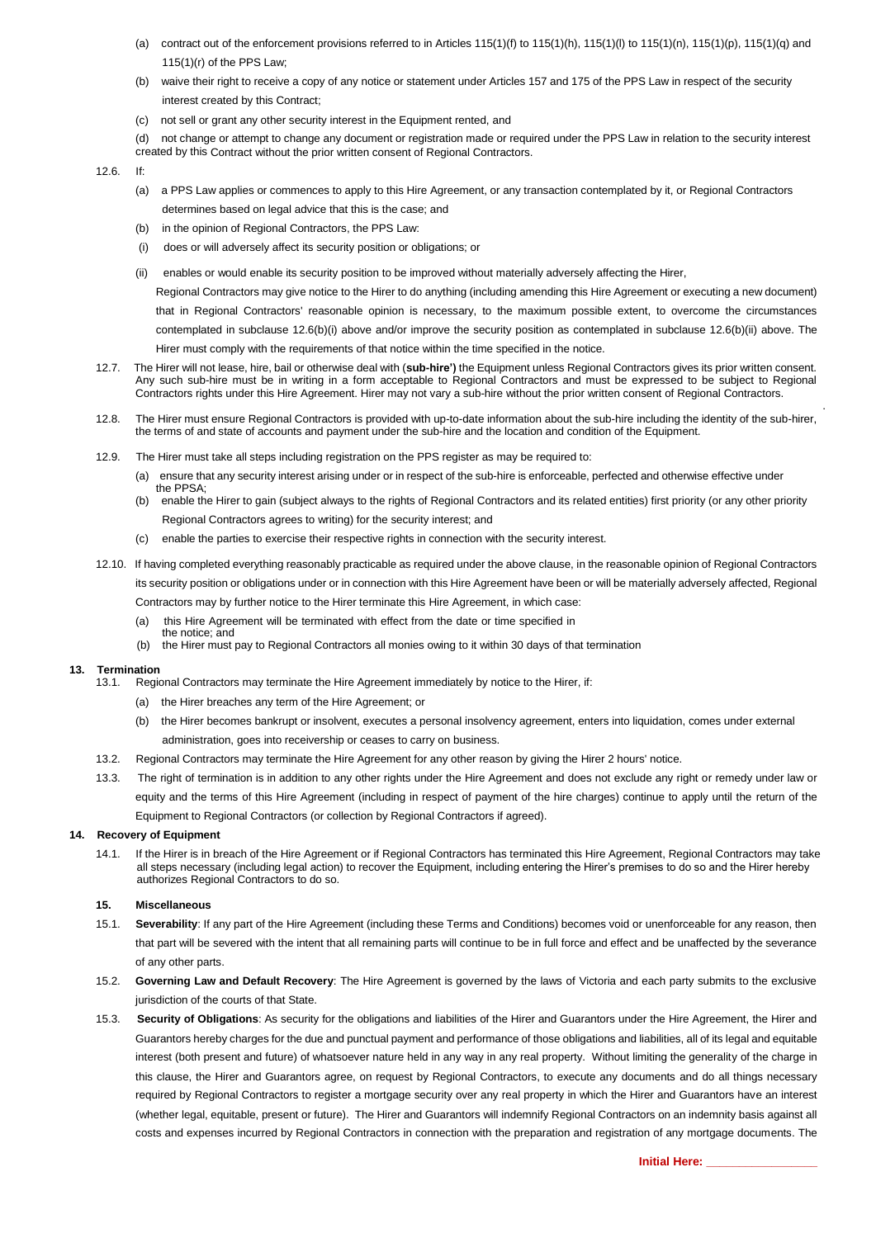- (a) contract out of the enforcement provisions referred to in Articles 115(1)(f) to 115(1)(h), 115(1)(l) to 115(1)(n), 115(1)(p), 115(1)(q) and 115(1)(r) of the PPS Law;
- (b) waive their right to receive a copy of any notice or statement under Articles 157 and 175 of the PPS Law in respect of the security interest created by this Contract;
- (c) not sell or grant any other security interest in the Equipment rented, and
- (d) not change or attempt to change any document or registration made or required under the PPS Law in relation to the security interest created by this Contract without the prior written consent of Regional Contractors.

 $12.6$  If:

- (a) a PPS Law applies or commences to apply to this Hire Agreement, or any transaction contemplated by it, or Regional Contractors determines based on legal advice that this is the case; and
- (b) in the opinion of Regional Contractors, the PPS Law:
- (i) does or will adversely affect its security position or obligations; or
- (ii) enables or would enable its security position to be improved without materially adversely affecting the Hirer,

Regional Contractors may give notice to the Hirer to do anything (including amending this Hire Agreement or executing a new document)

that in Regional Contractors' reasonable opinion is necessary, to the maximum possible extent, to overcome the circumstances contemplated in subclause 12.6(b)(i) above and/or improve the security position as contemplated in subclause 12.6(b)(ii) above. The Hirer must comply with the requirements of that notice within the time specified in the notice.

- 12.7. The Hirer will not lease, hire, bail or otherwise deal with (**sub-hire')** the Equipment unless Regional Contractors gives its prior written consent. Any such sub-hire must be in writing in a form acceptable to Regional Contractors and must be expressed to be subject to Regional Contractors rights under this Hire Agreement. Hirer may not vary a sub-hire without the prior written consent of Regional Contractors.
- 12.8. The Hirer must ensure Regional Contractors is provided with up-to-date information about the sub-hire including the identity of the sub-hirer, the terms of and state of accounts and payment under the sub-hire and the location and condition of the Equipment.
- 12.9. The Hirer must take all steps including registration on the PPS register as may be required to:
	- (a) ensure that any security interest arising under or in respect of the sub-hire is enforceable, perfected and otherwise effective under the PPSA;
	- (b) enable the Hirer to gain (subject always to the rights of Regional Contractors and its related entities) first priority (or any other priority Regional Contractors agrees to writing) for the security interest; and
	- (c) enable the parties to exercise their respective rights in connection with the security interest.
- 12.10. If having completed everything reasonably practicable as required under the above clause, in the reasonable opinion of Regional Contractors its security position or obligations under or in connection with this Hire Agreement have been or will be materially adversely affected, Regional Contractors may by further notice to the Hirer terminate this Hire Agreement, in which case:
	- (a) this Hire Agreement will be terminated with effect from the date or time specified in
	- the notice; and (b) the Hirer must pay to Regional Contractors all monies owing to it within 30 days of that termination

#### **13. Termination**

- 13.1. Regional Contractors may terminate the Hire Agreement immediately by notice to the Hirer, if:
	- (a) the Hirer breaches any term of the Hire Agreement; or
	- (b) the Hirer becomes bankrupt or insolvent, executes a personal insolvency agreement, enters into liquidation, comes under external administration, goes into receivership or ceases to carry on business.
- 13.2. Regional Contractors may terminate the Hire Agreement for any other reason by giving the Hirer 2 hours' notice.
- 13.3. The right of termination is in addition to any other rights under the Hire Agreement and does not exclude any right or remedy under law or equity and the terms of this Hire Agreement (including in respect of payment of the hire charges) continue to apply until the return of the Equipment to Regional Contractors (or collection by Regional Contractors if agreed).

#### **14. Recovery of Equipment**

14.1. If the Hirer is in breach of the Hire Agreement or if Regional Contractors has terminated this Hire Agreement, Regional Contractors may take all steps necessary (including legal action) to recover the Equipment, including entering the Hirer's premises to do so and the Hirer hereby authorizes Regional Contractors to do so.

### **15. Miscellaneous**

- 15.1. **Severability**: If any part of the Hire Agreement (including these Terms and Conditions) becomes void or unenforceable for any reason, then that part will be severed with the intent that all remaining parts will continue to be in full force and effect and be unaffected by the severance of any other parts.
- 15.2. **Governing Law and Default Recovery**: The Hire Agreement is governed by the laws of Victoria and each party submits to the exclusive jurisdiction of the courts of that State.
- 15.3. **Security of Obligations**: As security for the obligations and liabilities of the Hirer and Guarantors under the Hire Agreement, the Hirer and Guarantors hereby charges for the due and punctual payment and performance of those obligations and liabilities, all of its legal and equitable interest (both present and future) of whatsoever nature held in any way in any real property. Without limiting the generality of the charge in this clause, the Hirer and Guarantors agree, on request by Regional Contractors, to execute any documents and do all things necessary required by Regional Contractors to register a mortgage security over any real property in which the Hirer and Guarantors have an interest (whether legal, equitable, present or future). The Hirer and Guarantors will indemnify Regional Contractors on an indemnity basis against all costs and expenses incurred by Regional Contractors in connection with the preparation and registration of any mortgage documents. The

.